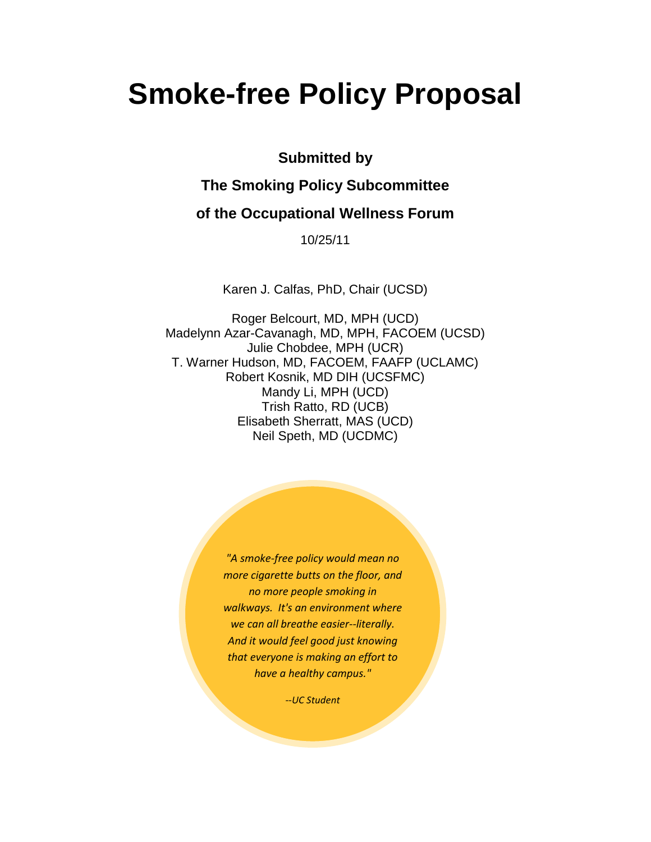# **Smoke-free Policy Proposal**

**Submitted by** 

# **The Smoking Policy Subcommittee**

# **of the Occupational Wellness Forum**

10/25/11

Karen J. Calfas, PhD, Chair (UCSD)

Roger Belcourt, MD, MPH (UCD) Madelynn Azar-Cavanagh, MD, MPH, FACOEM (UCSD) Julie Chobdee, MPH (UCR) T. Warner Hudson, MD, FACOEM, FAAFP (UCLAMC) Robert Kosnik, MD DIH (UCSFMC) Mandy Li, MPH (UCD) Trish Ratto, RD (UCB) Elisabeth Sherratt, MAS (UCD) Neil Speth, MD (UCDMC)

> *"A smoke-free policy would mean no more cigarette butts on the floor, and no more people smoking in walkways. It's an environment where we can all breathe easier--literally. And it would feel good just knowing that everyone is making an effort to have a healthy campus."*

> > *--UC Student*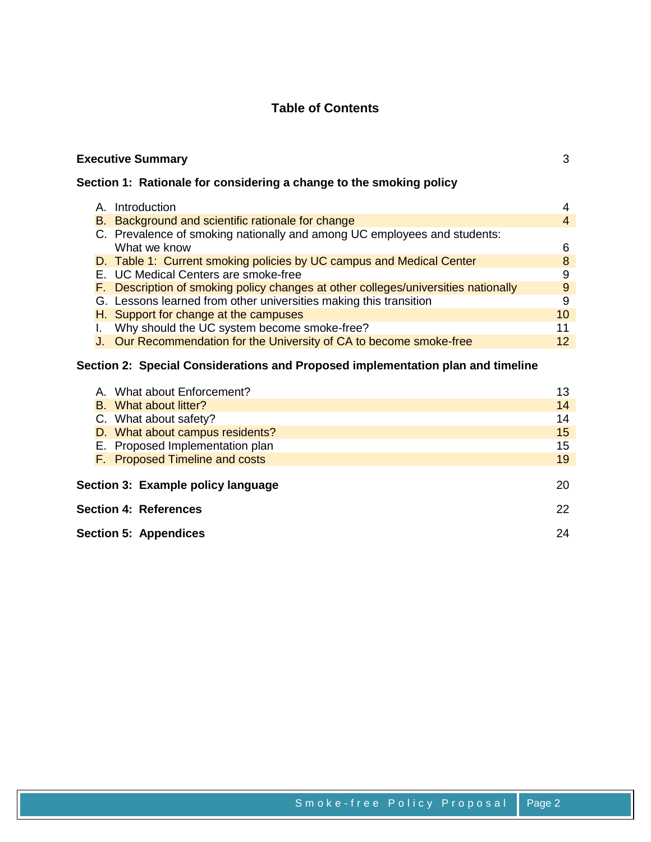# **Table of Contents**

|                                                                     | <b>Executive Summary</b><br>3 |                                                                                    |    |  |  |  |  |
|---------------------------------------------------------------------|-------------------------------|------------------------------------------------------------------------------------|----|--|--|--|--|
| Section 1: Rationale for considering a change to the smoking policy |                               |                                                                                    |    |  |  |  |  |
|                                                                     |                               | A. Introduction                                                                    | 4  |  |  |  |  |
|                                                                     |                               | B. Background and scientific rationale for change                                  | 4  |  |  |  |  |
|                                                                     |                               | C. Prevalence of smoking nationally and among UC employees and students:           |    |  |  |  |  |
|                                                                     |                               | What we know                                                                       | 6  |  |  |  |  |
|                                                                     |                               | D. Table 1: Current smoking policies by UC campus and Medical Center               | 8  |  |  |  |  |
|                                                                     |                               | E. UC Medical Centers are smoke-free                                               | 9  |  |  |  |  |
|                                                                     |                               | F. Description of smoking policy changes at other colleges/universities nationally | 9  |  |  |  |  |
|                                                                     |                               | G. Lessons learned from other universities making this transition                  | 9  |  |  |  |  |
|                                                                     |                               | H. Support for change at the campuses                                              | 10 |  |  |  |  |
|                                                                     |                               | Why should the UC system become smoke-free?                                        | 11 |  |  |  |  |
|                                                                     |                               | J. Our Recommendation for the University of CA to become smoke-free                | 12 |  |  |  |  |
|                                                                     |                               |                                                                                    |    |  |  |  |  |

# **Section 2: Special Considerations and Proposed implementation plan and timeline**

|                                          |  | A. What about Enforcement?      | 13 |  |
|------------------------------------------|--|---------------------------------|----|--|
|                                          |  | B. What about litter?           | 14 |  |
|                                          |  | C. What about safety?           | 14 |  |
|                                          |  | D. What about campus residents? | 15 |  |
|                                          |  | E. Proposed Implementation plan | 15 |  |
|                                          |  | F. Proposed Timeline and costs  | 19 |  |
|                                          |  |                                 |    |  |
| Section 3: Example policy language<br>20 |  |                                 |    |  |
| <b>Section 4: References</b>             |  |                                 |    |  |
| <b>Section 5: Appendices</b>             |  |                                 | 24 |  |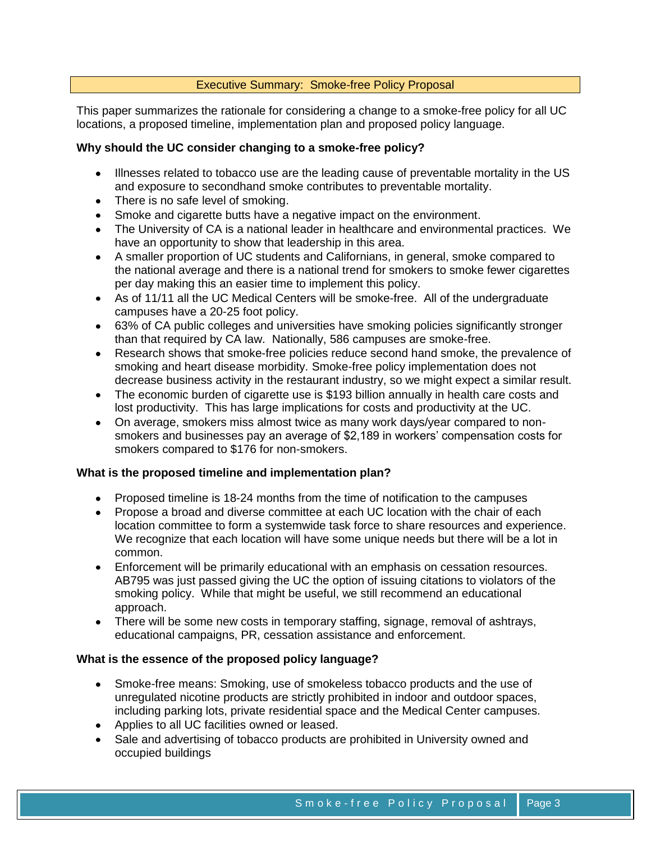# Executive Summary: Smoke-free Policy Proposal

This paper summarizes the rationale for considering a change to a smoke-free policy for all UC locations, a proposed timeline, implementation plan and proposed policy language.

## **Why should the UC consider changing to a smoke-free policy?**

- Illnesses related to tobacco use are the leading cause of preventable mortality in the US and exposure to secondhand smoke contributes to preventable mortality.
- There is no safe level of smoking.
- Smoke and cigarette butts have a negative impact on the environment.
- The University of CA is a national leader in healthcare and environmental practices. We have an opportunity to show that leadership in this area.
- A smaller proportion of UC students and Californians, in general, smoke compared to the national average and there is a national trend for smokers to smoke fewer cigarettes per day making this an easier time to implement this policy.
- As of 11/11 all the UC Medical Centers will be smoke-free. All of the undergraduate campuses have a 20-25 foot policy.
- 63% of CA public colleges and universities have smoking policies significantly stronger than that required by CA law. Nationally, 586 campuses are smoke-free.
- Research shows that smoke-free policies reduce second hand smoke, the prevalence of  $\bullet$ smoking and heart disease morbidity. Smoke-free policy implementation does not decrease business activity in the restaurant industry, so we might expect a similar result.
- The economic burden of cigarette use is \$193 billion annually in health care costs and lost productivity. This has large implications for costs and productivity at the UC.
- On average, smokers miss almost twice as many work days/year compared to nonsmokers and businesses pay an average of \$2,189 in workers' compensation costs for smokers compared to \$176 for non-smokers.

#### **What is the proposed timeline and implementation plan?**

- Proposed timeline is 18-24 months from the time of notification to the campuses
- Propose a broad and diverse committee at each UC location with the chair of each location committee to form a systemwide task force to share resources and experience. We recognize that each location will have some unique needs but there will be a lot in common.
- Enforcement will be primarily educational with an emphasis on cessation resources. AB795 was just passed giving the UC the option of issuing citations to violators of the smoking policy. While that might be useful, we still recommend an educational approach.
- There will be some new costs in temporary staffing, signage, removal of ashtrays, educational campaigns, PR, cessation assistance and enforcement.

#### **What is the essence of the proposed policy language?**

- Smoke-free means: Smoking, use of smokeless tobacco products and the use of unregulated nicotine products are strictly prohibited in indoor and outdoor spaces, including parking lots, private residential space and the Medical Center campuses.
- Applies to all UC facilities owned or leased.
- Sale and advertising of tobacco products are prohibited in University owned and occupied buildings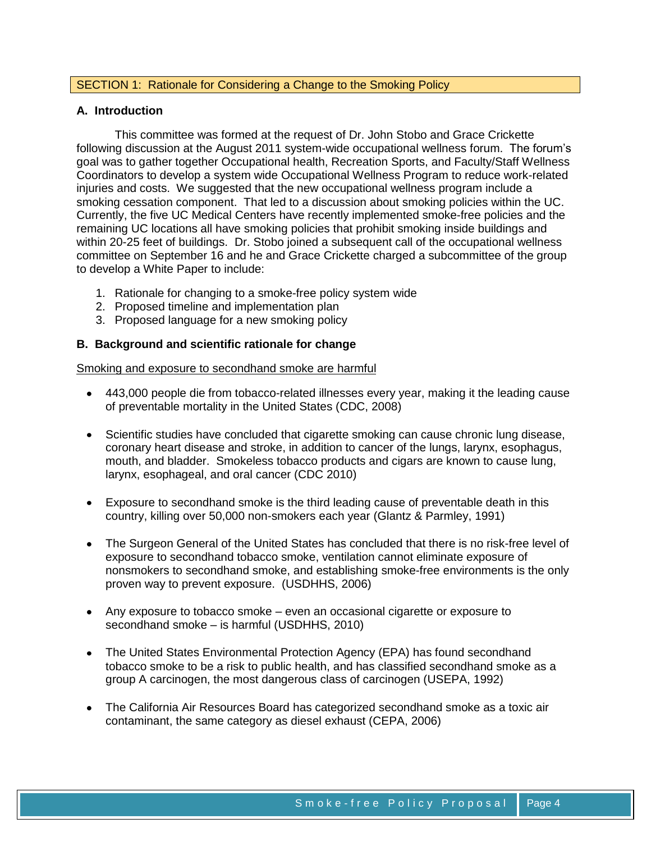# SECTION 1: Rationale for Considering a Change to the Smoking Policy

## **A. Introduction**

This committee was formed at the request of Dr. John Stobo and Grace Crickette following discussion at the August 2011 system-wide occupational wellness forum. The forum's goal was to gather together Occupational health, Recreation Sports, and Faculty/Staff Wellness Coordinators to develop a system wide Occupational Wellness Program to reduce work-related injuries and costs. We suggested that the new occupational wellness program include a smoking cessation component. That led to a discussion about smoking policies within the UC. Currently, the five UC Medical Centers have recently implemented smoke-free policies and the remaining UC locations all have smoking policies that prohibit smoking inside buildings and within 20-25 feet of buildings. Dr. Stobo joined a subsequent call of the occupational wellness committee on September 16 and he and Grace Crickette charged a subcommittee of the group to develop a White Paper to include:

- 1. Rationale for changing to a smoke-free policy system wide
- 2. Proposed timeline and implementation plan
- 3. Proposed language for a new smoking policy

# **B. Background and scientific rationale for change**

Smoking and exposure to secondhand smoke are harmful

- 443,000 people die from tobacco-related illnesses every year, making it the leading cause of preventable mortality in the United States (CDC, 2008)
- Scientific studies have concluded that cigarette smoking can cause chronic lung disease, coronary heart disease and stroke, in addition to cancer of the lungs, larynx, esophagus, mouth, and bladder. Smokeless tobacco products and cigars are known to cause lung, larynx, esophageal, and oral cancer (CDC 2010)
- Exposure to secondhand smoke is the third leading cause of preventable death in this country, killing over 50,000 non-smokers each year (Glantz & Parmley, 1991)
- The Surgeon General of the United States has concluded that there is no risk-free level of exposure to secondhand tobacco smoke, ventilation cannot eliminate exposure of nonsmokers to secondhand smoke, and establishing smoke-free environments is the only proven way to prevent exposure. (USDHHS, 2006)
- Any exposure to tobacco smoke even an occasional cigarette or exposure to secondhand smoke – is harmful (USDHHS, 2010)
- The United States Environmental Protection Agency (EPA) has found secondhand  $\bullet$ tobacco smoke to be a risk to public health, and has classified secondhand smoke as a group A carcinogen, the most dangerous class of carcinogen (USEPA, 1992)
- The California Air Resources Board has categorized secondhand smoke as a toxic air contaminant, the same category as diesel exhaust (CEPA, 2006)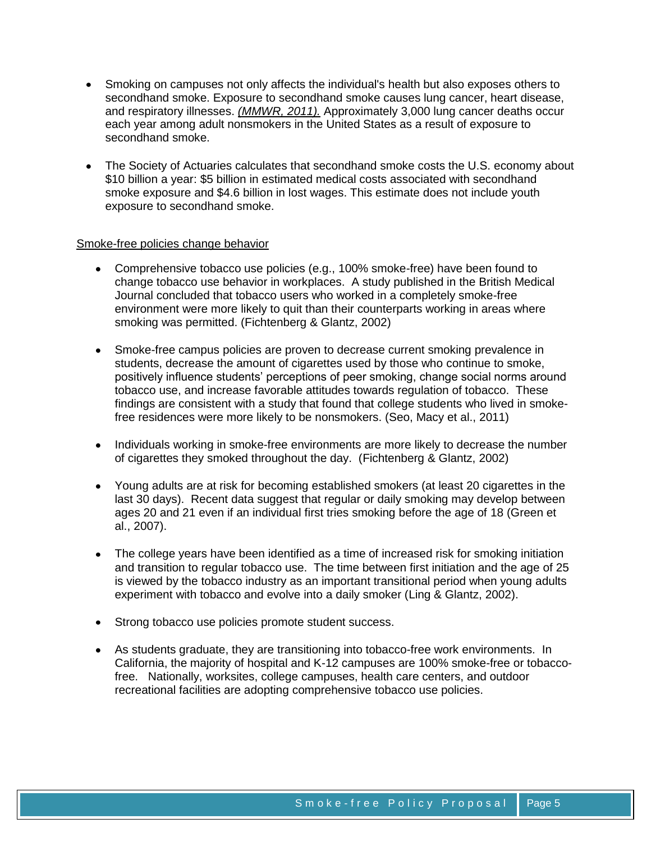- Smoking on campuses not only affects the individual's health but also exposes others to secondhand smoke. Exposure to secondhand smoke causes lung cancer, heart disease, and respiratory illnesses. *[\(MMWR, 2011\).](http://www.cdc.gov/mmwr/preview/mmwrhtml/mm6038a2.htm)* Approximately 3,000 lung cancer deaths occur each year among adult nonsmokers in the United States as a result of exposure to secondhand smoke.
- The Society of Actuaries calculates that secondhand smoke costs the U.S. economy about \$10 billion a year: \$5 billion in estimated medical costs associated with secondhand smoke exposure and \$4.6 billion in lost wages. This estimate does not include youth exposure to secondhand smoke.

#### Smoke-free policies change behavior

- Comprehensive tobacco use policies (e.g., 100% smoke-free) have been found to change tobacco use behavior in workplaces. A study published in the British Medical Journal concluded that tobacco users who worked in a completely smoke-free environment were more likely to quit than their counterparts working in areas where smoking was permitted. (Fichtenberg & Glantz, 2002)
- Smoke-free campus policies are proven to decrease current smoking prevalence in students, decrease the amount of cigarettes used by those who continue to smoke, positively influence students' perceptions of peer smoking, change social norms around tobacco use, and increase favorable attitudes towards regulation of tobacco. These findings are consistent with a study that found that college students who lived in smokefree residences were more likely to be nonsmokers. (Seo, Macy et al., 2011)
- Individuals working in smoke-free environments are more likely to decrease the number of cigarettes they smoked throughout the day. (Fichtenberg & Glantz, 2002)
- Young adults are at risk for becoming established smokers (at least 20 cigarettes in the last 30 days). Recent data suggest that regular or daily smoking may develop between ages 20 and 21 even if an individual first tries smoking before the age of 18 (Green et al., 2007).
- The college years have been identified as a time of increased risk for smoking initiation and transition to regular tobacco use. The time between first initiation and the age of 25 is viewed by the tobacco industry as an important transitional period when young adults experiment with tobacco and evolve into a daily smoker (Ling & Glantz, 2002).
- Strong tobacco use policies promote student success.
- As students graduate, they are transitioning into tobacco-free work environments. In California, the majority of hospital and K-12 campuses are 100% smoke-free or tobaccofree. Nationally, worksites, college campuses, health care centers, and outdoor recreational facilities are adopting comprehensive tobacco use policies.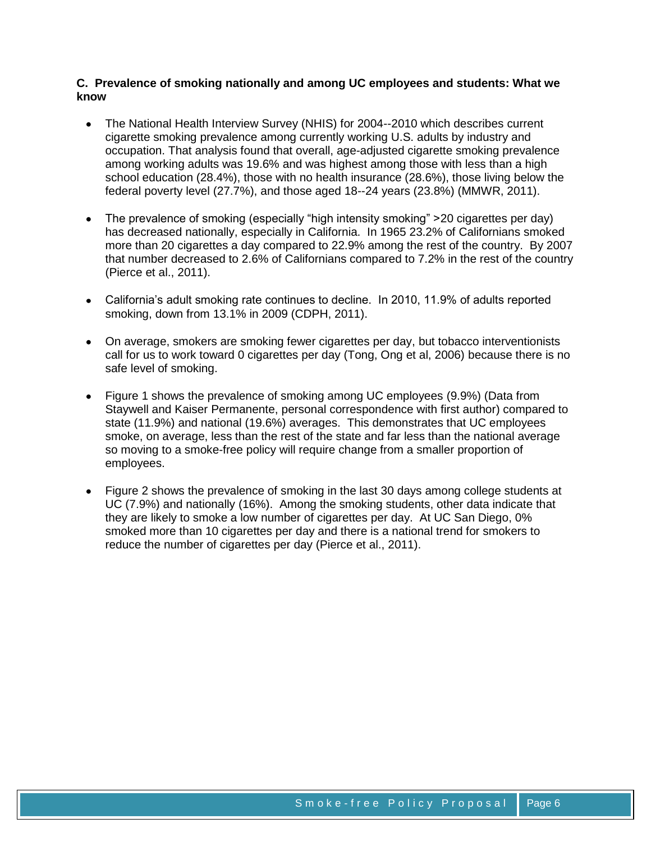# **C. Prevalence of smoking nationally and among UC employees and students: What we know**

- The National Health Interview Survey (NHIS) for 2004--2010 which describes current  $\bullet$ cigarette smoking prevalence among currently working U.S. adults by industry and occupation. That analysis found that overall, age-adjusted cigarette smoking prevalence among working adults was 19.6% and was highest among those with less than a high school education (28.4%), those with no health insurance (28.6%), those living below the federal poverty level (27.7%), and those aged 18--24 years (23.8%) (MMWR, 2011).
- The prevalence of smoking (especially "high intensity smoking" > 20 cigarettes per day) has decreased nationally, especially in California. In 1965 23.2% of Californians smoked more than 20 cigarettes a day compared to 22.9% among the rest of the country. By 2007 that number decreased to 2.6% of Californians compared to 7.2% in the rest of the country (Pierce et al., 2011).
- California's adult smoking rate continues to decline. In 2010, 11.9% of adults reported smoking, down from 13.1% in 2009 (CDPH, 2011).
- On average, smokers are smoking fewer cigarettes per day, but tobacco interventionists call for us to work toward 0 cigarettes per day (Tong, Ong et al, 2006) because there is no safe level of smoking.
- Figure 1 shows the prevalence of smoking among UC employees (9.9%) (Data from Staywell and Kaiser Permanente, personal correspondence with first author) compared to state (11.9%) and national (19.6%) averages. This demonstrates that UC employees smoke, on average, less than the rest of the state and far less than the national average so moving to a smoke-free policy will require change from a smaller proportion of employees.
- Figure 2 shows the prevalence of smoking in the last 30 days among college students at UC (7.9%) and nationally (16%). Among the smoking students, other data indicate that they are likely to smoke a low number of cigarettes per day. At UC San Diego, 0% smoked more than 10 cigarettes per day and there is a national trend for smokers to reduce the number of cigarettes per day (Pierce et al., 2011).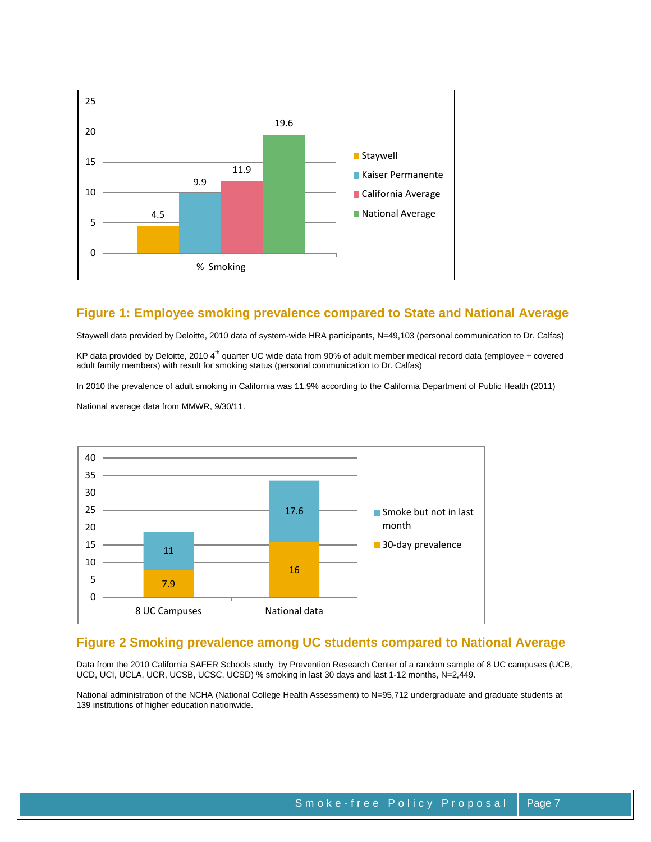

# **Figure 1: Employee smoking prevalence compared to State and National Average**

Staywell data provided by Deloitte, 2010 data of system-wide HRA participants, N=49,103 (personal communication to Dr. Calfas)

KP data provided by Deloitte, 2010 4<sup>th</sup> quarter UC wide data from 90% of adult member medical record data (employee + covered adult family members) with result for smoking status (personal communication to Dr. Calfas)

In 2010 the prevalence of adult smoking in California was 11.9% according to the California Department of Public Health (2011)

National average data from MMWR, 9/30/11.



#### **Figure 2 Smoking prevalence among UC students compared to National Average**

Data from the 2010 California SAFER Schools study by Prevention Research Center of a random sample of 8 UC campuses (UCB, UCD, UCI, UCLA, UCR, UCSB, UCSC, UCSD) % smoking in last 30 days and last 1-12 months, N=2,449.

National administration of the NCHA (National College Health Assessment) to N=95,712 undergraduate and graduate students at 139 institutions of higher education nationwide.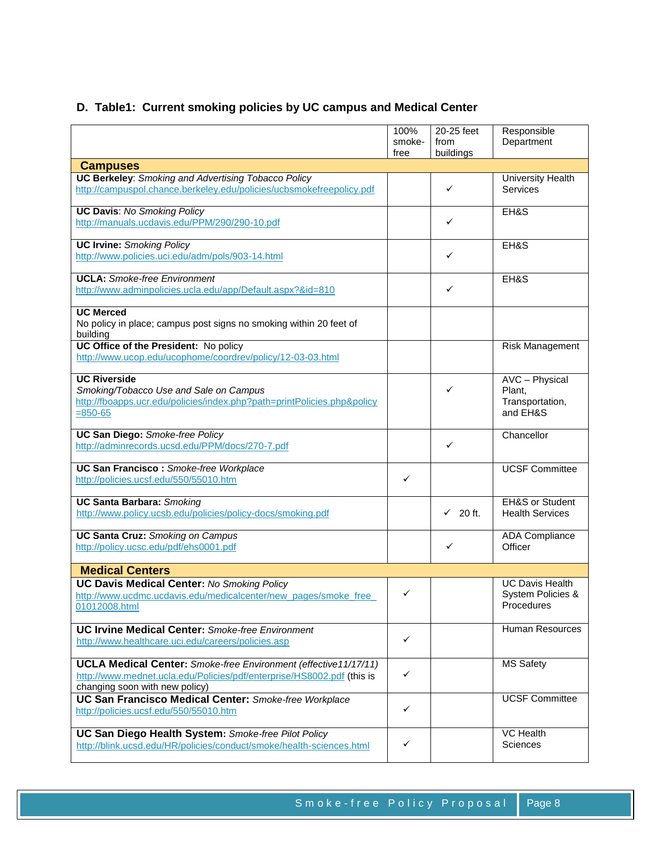# **D. Table1: Current smoking policies by UC campus and Medical Center**

|                                                                                                                                                                                    | 100%<br>smoke-<br>free | 20-25 feet<br>from<br>buildings | Responsible<br>Department                                 |
|------------------------------------------------------------------------------------------------------------------------------------------------------------------------------------|------------------------|---------------------------------|-----------------------------------------------------------|
| <b>Campuses</b>                                                                                                                                                                    |                        |                                 |                                                           |
| <b>UC Berkeley: Smoking and Advertising Tobacco Policy</b><br>http://campuspol.chance.berkeley.edu/policies/ucbsmokefreepolicy.pdf                                                 |                        | ✓                               | University Health<br><b>Services</b>                      |
| <b>UC Davis: No Smoking Policy</b><br>http://manuals.ucdavis.edu/PPM/290/290-10.pdf                                                                                                |                        | ✓                               | EH&S                                                      |
| <b>UC Irvine: Smoking Policy</b><br>http://www.policies.uci.edu/adm/pols/903-14.html                                                                                               |                        | ✓                               | EH&S                                                      |
| <b>UCLA:</b> Smoke-free Environment<br>http://www.adminpolicies.ucla.edu/app/Default.aspx?&id=810                                                                                  |                        | ✓                               | EH&S                                                      |
| <b>UC Merced</b><br>No policy in place; campus post signs no smoking within 20 feet of<br>building                                                                                 |                        |                                 |                                                           |
| UC Office of the President: No policy<br>http://www.ucop.edu/ucophome/coordrev/policy/12-03-03.html                                                                                |                        |                                 | Risk Management                                           |
| <b>UC Riverside</b><br>Smoking/Tobacco Use and Sale on Campus<br>http://fboapps.ucr.edu/policies/index.php?path=printPolicies.php&policy<br>$= 850 - 65$                           |                        | ✓                               | AVC - Physical<br>Plant,<br>Transportation,<br>and EH&S   |
| <b>UC San Diego: Smoke-free Policy</b><br>http://adminrecords.ucsd.edu/PPM/docs/270-7.pdf                                                                                          |                        | ✓                               | Chancellor                                                |
| <b>UC San Francisco:</b> Smoke-free Workplace<br>http://policies.ucsf.edu/550/55010.htm                                                                                            | $\checkmark$           |                                 | <b>UCSF Committee</b>                                     |
| <b>UC Santa Barbara: Smoking</b><br>http://www.policy.ucsb.edu/policies/policy-docs/smoking.pdf                                                                                    |                        | $\checkmark$ 20 ft.             | <b>EH&amp;S or Student</b><br><b>Health Services</b>      |
| <b>UC Santa Cruz:</b> Smoking on Campus<br>http://policy.ucsc.edu/pdf/ehs0001.pdf                                                                                                  |                        | ✓                               | <b>ADA Compliance</b><br>Officer                          |
| <b>Medical Centers</b>                                                                                                                                                             |                        |                                 |                                                           |
| <b>UC Davis Medical Center: No Smoking Policy</b><br>http://www.ucdmc.ucdavis.edu/medicalcenter/new_pages/smoke_free<br>01012008.html                                              | ✓                      |                                 | <b>UC Davis Health</b><br>System Policies &<br>Procedures |
| <b>UC Irvine Medical Center:</b> Smoke-free Environment<br>http://www.healthcare.uci.edu/careers/policies.asp                                                                      | $\checkmark$           |                                 | Human Resources                                           |
| <b>UCLA Medical Center:</b> Smoke-free Environment (effective11/17/11)<br>http://www.mednet.ucla.edu/Policies/pdf/enterprise/HS8002.pdf (this is<br>changing soon with new policy) | ✓                      |                                 | <b>MS Safety</b>                                          |
| <b>UC San Francisco Medical Center: Smoke-free Workplace</b><br>http://policies.ucsf.edu/550/55010.htm                                                                             | ✓                      |                                 | <b>UCSF Committee</b>                                     |
| UC San Diego Health System: Smoke-free Pilot Policy<br>http://blink.ucsd.edu/HR/policies/conduct/smoke/health-sciences.html                                                        | ✓                      |                                 | <b>VC Health</b><br>Sciences                              |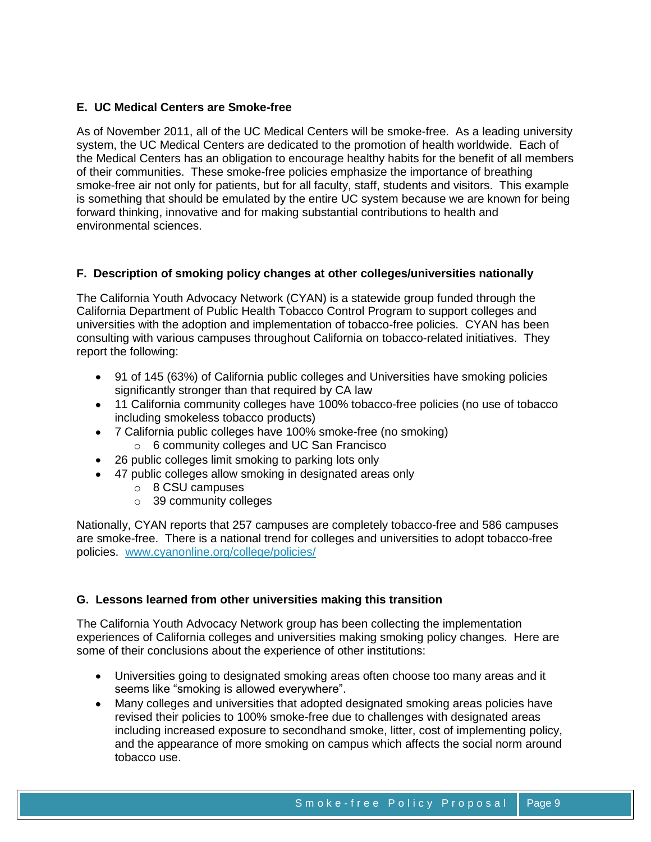# **E. UC Medical Centers are Smoke-free**

As of November 2011, all of the UC Medical Centers will be smoke-free. As a leading university system, the UC Medical Centers are dedicated to the promotion of health worldwide. Each of the Medical Centers has an obligation to encourage healthy habits for the benefit of all members of their communities. These smoke-free policies emphasize the importance of breathing smoke-free air not only for patients, but for all faculty, staff, students and visitors. This example is something that should be emulated by the entire UC system because we are known for being forward thinking, innovative and for making substantial contributions to health and environmental sciences.

# **F. Description of smoking policy changes at other colleges/universities nationally**

The California Youth Advocacy Network (CYAN) is a statewide group funded through the California Department of Public Health Tobacco Control Program to support colleges and universities with the adoption and implementation of tobacco-free policies. CYAN has been consulting with various campuses throughout California on tobacco-related initiatives. They report the following:

- 91 of 145 (63%) of California public colleges and Universities have smoking policies significantly stronger than that required by CA law
- 11 California community colleges have 100% tobacco-free policies (no use of tobacco including smokeless tobacco products)
- 7 California public colleges have 100% smoke-free (no smoking)
	- o 6 community colleges and UC San Francisco
- 26 public colleges limit smoking to parking lots only
- 47 public colleges allow smoking in designated areas only
	- o 8 CSU campuses
	- o 39 community colleges

Nationally, CYAN reports that 257 campuses are completely tobacco-free and 586 campuses are smoke-free. There is a national trend for colleges and universities to adopt tobacco-free policies. [www.cyanonline.org/college/policies/](http://www.cyanonline.org/college/policies/)

# **G. Lessons learned from other universities making this transition**

The California Youth Advocacy Network group has been collecting the implementation experiences of California colleges and universities making smoking policy changes. Here are some of their conclusions about the experience of other institutions:

- Universities going to designated smoking areas often choose too many areas and it seems like "smoking is allowed everywhere".
- Many colleges and universities that adopted designated smoking areas policies have  $\bullet$ revised their policies to 100% smoke-free due to challenges with designated areas including increased exposure to secondhand smoke, litter, cost of implementing policy, and the appearance of more smoking on campus which affects the social norm around tobacco use.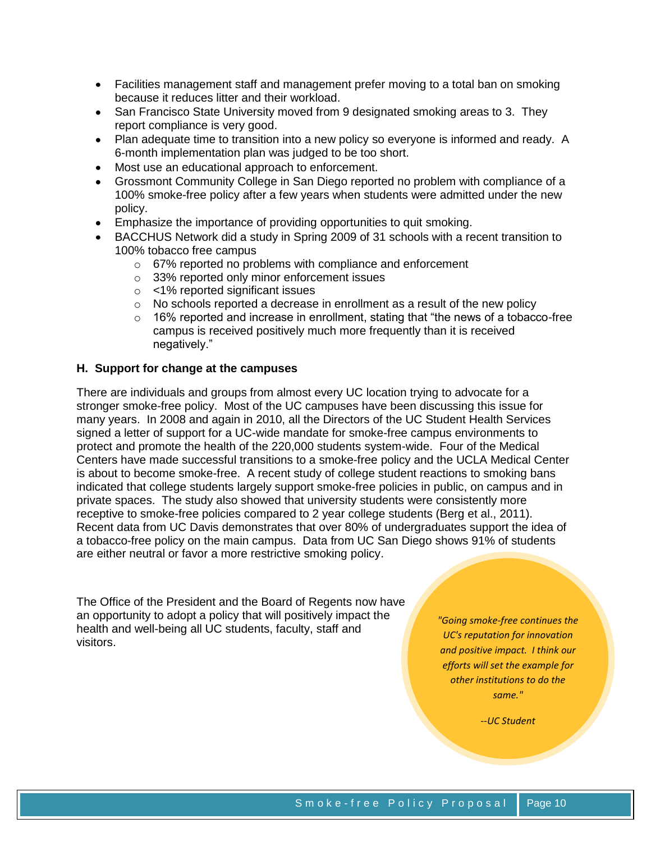- Facilities management staff and management prefer moving to a total ban on smoking because it reduces litter and their workload.
- San Francisco State University moved from 9 designated smoking areas to 3. They report compliance is very good.
- Plan adequate time to transition into a new policy so everyone is informed and ready. A 6-month implementation plan was judged to be too short.
- Most use an educational approach to enforcement.
- Grossmont Community College in San Diego reported no problem with compliance of a 100% smoke-free policy after a few years when students were admitted under the new policy.
- Emphasize the importance of providing opportunities to quit smoking.
- BACCHUS Network did a study in Spring 2009 of 31 schools with a recent transition to 100% tobacco free campus
	- o 67% reported no problems with compliance and enforcement
	- o 33% reported only minor enforcement issues
	- o <1% reported significant issues
	- o No schools reported a decrease in enrollment as a result of the new policy
	- $\circ$  16% reported and increase in enrollment, stating that "the news of a tobacco-free campus is received positively much more frequently than it is received negatively."

# **H. Support for change at the campuses**

There are individuals and groups from almost every UC location trying to advocate for a stronger smoke-free policy. Most of the UC campuses have been discussing this issue for many years. In 2008 and again in 2010, all the Directors of the UC Student Health Services signed a letter of support for a UC-wide mandate for smoke-free campus environments to protect and promote the health of the 220,000 students system-wide. Four of the Medical Centers have made successful transitions to a smoke-free policy and the UCLA Medical Center is about to become smoke-free. A recent study of college student reactions to smoking bans indicated that college students largely support smoke-free policies in public, on campus and in private spaces. The study also showed that university students were consistently more receptive to smoke-free policies compared to 2 year college students (Berg et al., 2011). Recent data from UC Davis demonstrates that over 80% of undergraduates support the idea of a tobacco-free policy on the main campus. Data from UC San Diego shows 91% of students are either neutral or favor a more restrictive smoking policy.

The Office of the President and the Board of Regents now have an opportunity to adopt a policy that will positively impact the health and well-being all UC students, faculty, staff and visitors.

*"Going smoke-free continues the UC's reputation for innovation and positive impact. I think our efforts will set the example for other institutions to do the same."*

*--UC Student*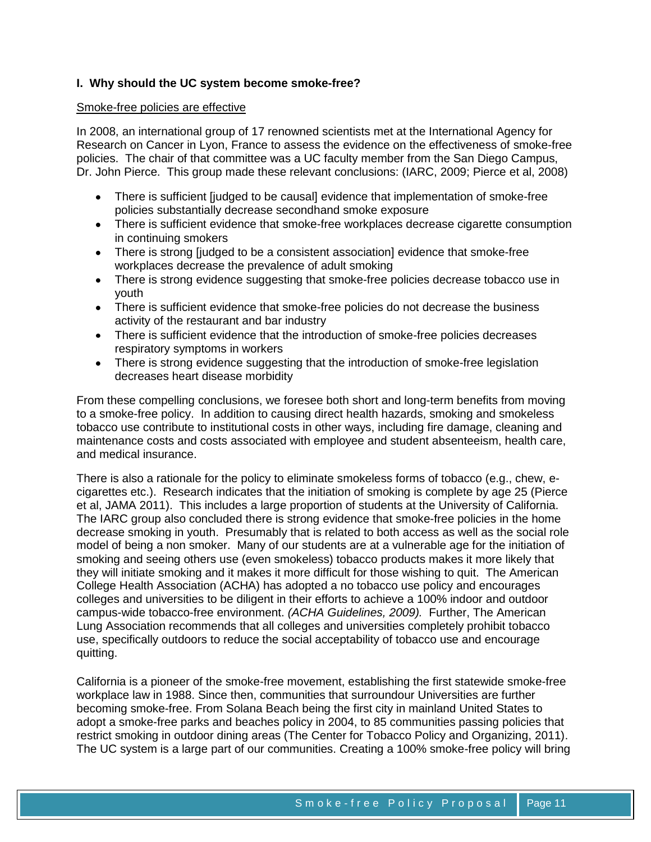# **I. Why should the UC system become smoke-free?**

#### Smoke-free policies are effective

In 2008, an international group of 17 renowned scientists met at the International Agency for Research on Cancer in Lyon, France to assess the evidence on the effectiveness of smoke-free policies. The chair of that committee was a UC faculty member from the San Diego Campus, Dr. John Pierce. This group made these relevant conclusions: (IARC, 2009; Pierce et al, 2008)

- There is sufficient [judged to be causal] evidence that implementation of smoke-free policies substantially decrease secondhand smoke exposure
- There is sufficient evidence that smoke-free workplaces decrease cigarette consumption in continuing smokers
- There is strong [judged to be a consistent association] evidence that smoke-free workplaces decrease the prevalence of adult smoking
- There is strong evidence suggesting that smoke-free policies decrease tobacco use in youth
- There is sufficient evidence that smoke-free policies do not decrease the business activity of the restaurant and bar industry
- There is sufficient evidence that the introduction of smoke-free policies decreases respiratory symptoms in workers
- There is strong evidence suggesting that the introduction of smoke-free legislation decreases heart disease morbidity

From these compelling conclusions, we foresee both short and long-term benefits from moving to a smoke-free policy. In addition to causing direct health hazards, smoking and smokeless tobacco use contribute to institutional costs in other ways, including fire damage, cleaning and maintenance costs and costs associated with employee and student absenteeism, health care, and medical insurance.

There is also a rationale for the policy to eliminate smokeless forms of tobacco (e.g., chew, ecigarettes etc.). Research indicates that the initiation of smoking is complete by age 25 (Pierce et al, JAMA 2011). This includes a large proportion of students at the University of California. The IARC group also concluded there is strong evidence that smoke-free policies in the home decrease smoking in youth. Presumably that is related to both access as well as the social role model of being a non smoker. Many of our students are at a vulnerable age for the initiation of smoking and seeing others use (even smokeless) tobacco products makes it more likely that they will initiate smoking and it makes it more difficult for those wishing to quit. The American College Health Association (ACHA) has adopted a no tobacco use policy and encourages colleges and universities to be diligent in their efforts to achieve a 100% indoor and outdoor campus-wide tobacco-free environment. *(ACHA Guidelines, 2009).* Further, The American Lung Association recommends that all colleges and universities completely prohibit tobacco use, specifically outdoors to reduce the social acceptability of tobacco use and encourage quitting.

California is a pioneer of the smoke-free movement, establishing the first statewide smoke-free workplace law in 1988. Since then, communities that surroundour Universities are further becoming smoke-free. From Solana Beach being the first city in mainland United States to adopt a smoke-free parks and beaches policy in 2004, to 85 communities passing policies that restrict smoking in outdoor dining areas (The Center for Tobacco Policy and Organizing, 2011). The UC system is a large part of our communities. Creating a 100% smoke-free policy will bring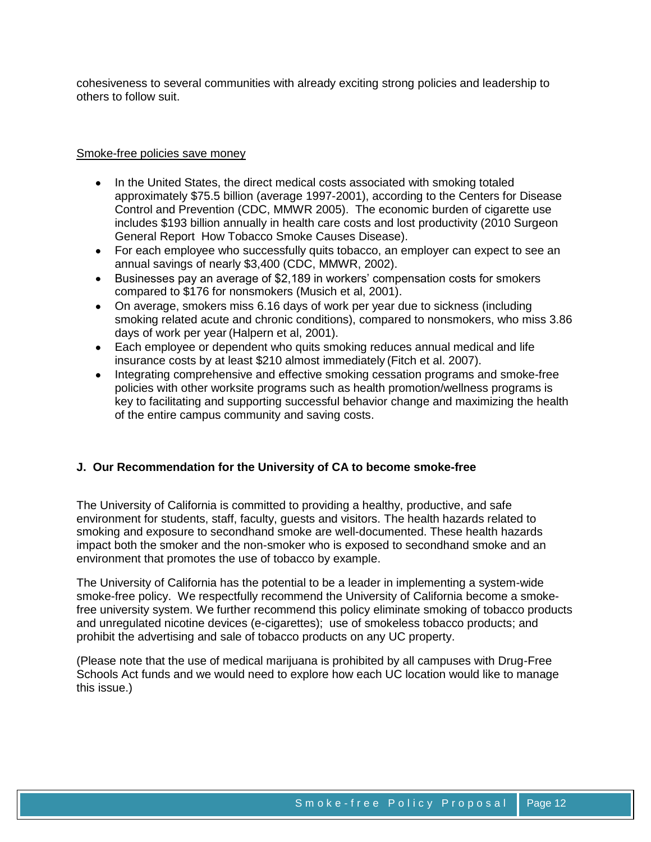cohesiveness to several communities with already exciting strong policies and leadership to others to follow suit.

## Smoke-free policies save money

- In the United States, the direct medical costs associated with smoking totaled approximately \$75.5 billion (average 1997-2001), according to the Centers for Disease Control and Prevention (CDC, MMWR 2005). The economic burden of cigarette use includes \$193 billion annually in health care costs and lost productivity (2010 Surgeon General Report How Tobacco Smoke Causes Disease).
- For each employee who successfully quits tobacco, an employer can expect to see an annual savings of nearly \$3,400 (CDC, MMWR, 2002).
- Businesses pay an average of \$2,189 in workers' compensation costs for smokers compared to \$176 for nonsmokers (Musich et al, 2001).
- On average, smokers miss 6.16 days of work per year due to sickness (including smoking related acute and chronic conditions), compared to nonsmokers, who miss 3.86 days of work per year (Halpern et al, 2001).
- Each employee or dependent who quits smoking reduces annual medical and life insurance costs by at least \$210 almost immediately (Fitch et al. 2007).
- Integrating comprehensive and effective smoking cessation programs and smoke-free policies with other worksite programs such as health promotion/wellness programs is key to facilitating and supporting successful behavior change and maximizing the health of the entire campus community and saving costs.

# **J. Our Recommendation for the University of CA to become smoke-free**

The University of California is committed to providing a healthy, productive, and safe environment for students, staff, faculty, guests and visitors. The health hazards related to smoking and exposure to secondhand smoke are well-documented. These health hazards impact both the smoker and the non-smoker who is exposed to secondhand smoke and an environment that promotes the use of tobacco by example.

The University of California has the potential to be a leader in implementing a system-wide smoke-free policy. We respectfully recommend the University of California become a smokefree university system. We further recommend this policy eliminate smoking of tobacco products and unregulated nicotine devices (e-cigarettes); use of smokeless tobacco products; and prohibit the advertising and sale of tobacco products on any UC property.

(Please note that the use of medical marijuana is prohibited by all campuses with Drug-Free Schools Act funds and we would need to explore how each UC location would like to manage this issue.)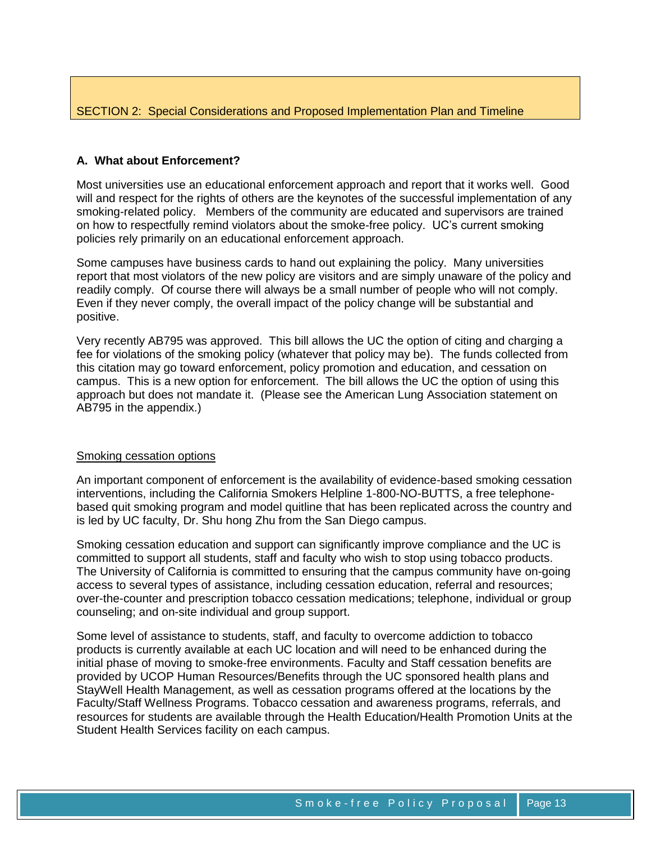# SECTION 2: Special Considerations and Proposed Implementation Plan and Timeline

# **A. What about Enforcement?**

Most universities use an educational enforcement approach and report that it works well. Good will and respect for the rights of others are the keynotes of the successful implementation of any smoking-related policy. Members of the community are educated and supervisors are trained on how to respectfully remind violators about the smoke-free policy. UC's current smoking policies rely primarily on an educational enforcement approach.

Some campuses have business cards to hand out explaining the policy. Many universities report that most violators of the new policy are visitors and are simply unaware of the policy and readily comply. Of course there will always be a small number of people who will not comply. Even if they never comply, the overall impact of the policy change will be substantial and positive.

Very recently AB795 was approved. This bill allows the UC the option of citing and charging a fee for violations of the smoking policy (whatever that policy may be). The funds collected from this citation may go toward enforcement, policy promotion and education, and cessation on campus. This is a new option for enforcement. The bill allows the UC the option of using this approach but does not mandate it. (Please see the American Lung Association statement on AB795 in the appendix.)

#### Smoking cessation options

An important component of enforcement is the availability of evidence-based smoking cessation interventions, including the California Smokers Helpline 1-800-NO-BUTTS, a free telephonebased quit smoking program and model quitline that has been replicated across the country and is led by UC faculty, Dr. Shu hong Zhu from the San Diego campus.

Smoking cessation education and support can significantly improve compliance and the UC is committed to support all students, staff and faculty who wish to stop using tobacco products. The University of California is committed to ensuring that the campus community have on-going access to several types of assistance, including cessation education, referral and resources; over-the-counter and prescription tobacco cessation medications; telephone, individual or group counseling; and on-site individual and group support.

Some level of assistance to students, staff, and faculty to overcome addiction to tobacco products is currently available at each UC location and will need to be enhanced during the initial phase of moving to smoke-free environments. Faculty and Staff cessation benefits are provided by UCOP Human Resources/Benefits through the UC sponsored health plans and StayWell Health Management, as well as cessation programs offered at the locations by the Faculty/Staff Wellness Programs. Tobacco cessation and awareness programs, referrals, and resources for students are available through the Health Education/Health Promotion Units at the Student Health Services facility on each campus.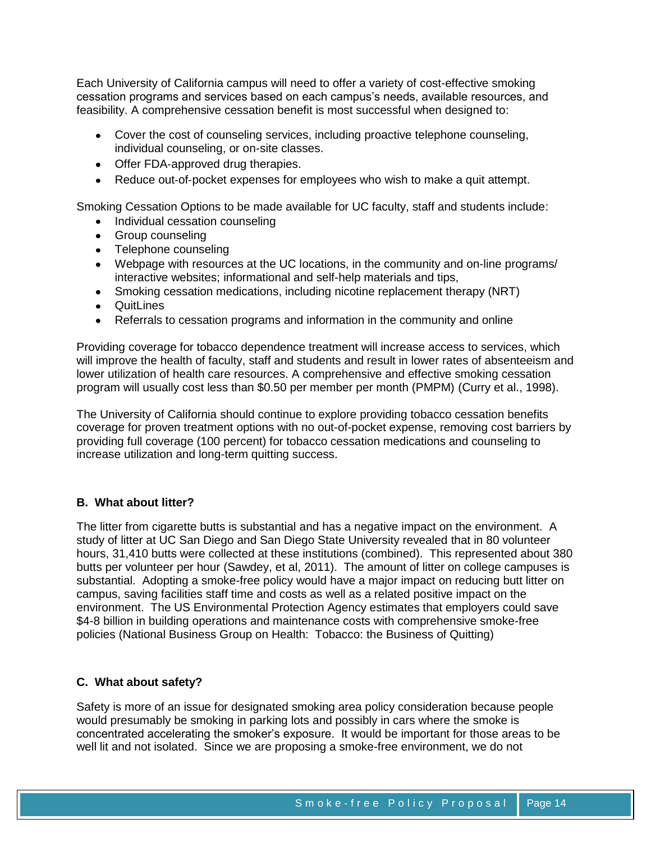Each University of California campus will need to offer a variety of cost-effective smoking cessation programs and services based on each campus's needs, available resources, and feasibility. A comprehensive cessation benefit is most successful when designed to:

- Cover the cost of counseling services, including proactive telephone counseling, individual counseling, or on-site classes.
- Offer FDA-approved drug therapies.
- Reduce out-of-pocket expenses for employees who wish to make a quit attempt.

Smoking Cessation Options to be made available for UC faculty, staff and students include:

- Individual cessation counseling
- Group counseling
- Telephone counseling
- Webpage with resources at the UC locations, in the community and on-line programs/ interactive websites; informational and self-help materials and tips,
- Smoking cessation medications, including nicotine replacement therapy (NRT)
- QuitLines
- Referrals to cessation programs and information in the community and online

Providing coverage for tobacco dependence treatment will increase access to services, which will improve the health of faculty, staff and students and result in lower rates of absenteeism and lower utilization of health care resources. A comprehensive and effective smoking cessation program will usually cost less than \$0.50 per member per month (PMPM) (Curry et al., 1998).

The University of California should continue to explore providing tobacco cessation benefits coverage for proven treatment options with no out-of-pocket expense, removing cost barriers by providing full coverage (100 percent) for tobacco cessation medications and counseling to increase utilization and long-term quitting success.

#### **B. What about litter?**

The litter from cigarette butts is substantial and has a negative impact on the environment. A study of litter at UC San Diego and San Diego State University revealed that in 80 volunteer hours, 31,410 butts were collected at these institutions (combined). This represented about 380 butts per volunteer per hour (Sawdey, et al, 2011). The amount of litter on college campuses is substantial. Adopting a smoke-free policy would have a major impact on reducing butt litter on campus, saving facilities staff time and costs as well as a related positive impact on the environment. The US Environmental Protection Agency estimates that employers could save \$4-8 billion in building operations and maintenance costs with comprehensive smoke-free policies (National Business Group on Health: Tobacco: the Business of Quitting)

# **C. What about safety?**

Safety is more of an issue for designated smoking area policy consideration because people would presumably be smoking in parking lots and possibly in cars where the smoke is concentrated accelerating the smoker's exposure. It would be important for those areas to be well lit and not isolated. Since we are proposing a smoke-free environment, we do not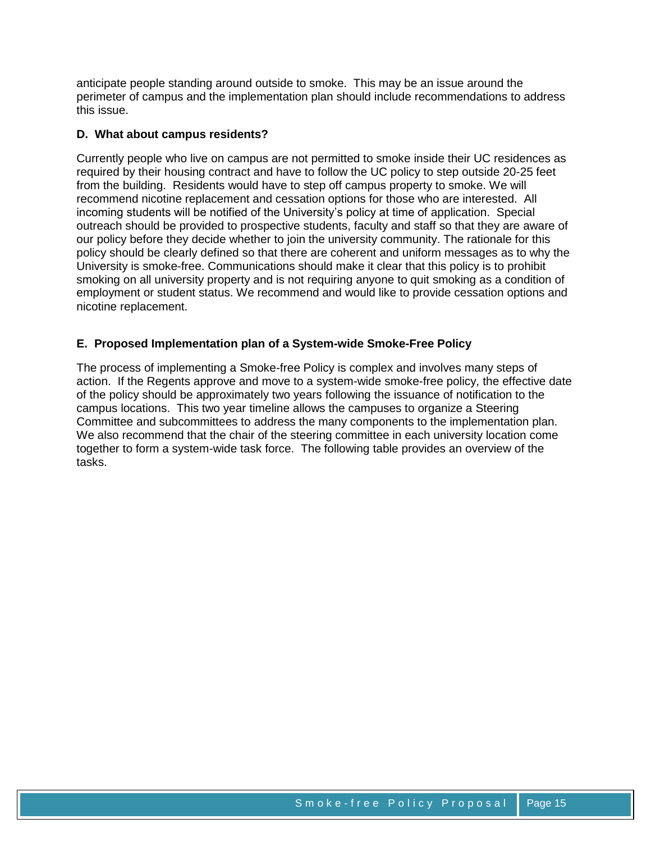anticipate people standing around outside to smoke. This may be an issue around the perimeter of campus and the implementation plan should include recommendations to address this issue.

# **D. What about campus residents?**

Currently people who live on campus are not permitted to smoke inside their UC residences as required by their housing contract and have to follow the UC policy to step outside 20-25 feet from the building. Residents would have to step off campus property to smoke. We will recommend nicotine replacement and cessation options for those who are interested. All incoming students will be notified of the University's policy at time of application. Special outreach should be provided to prospective students, faculty and staff so that they are aware of our policy before they decide whether to join the university community. The rationale for this policy should be clearly defined so that there are coherent and uniform messages as to why the University is smoke-free. Communications should make it clear that this policy is to prohibit smoking on all university property and is not requiring anyone to quit smoking as a condition of employment or student status. We recommend and would like to provide cessation options and nicotine replacement.

# **E. Proposed Implementation plan of a System-wide Smoke-Free Policy**

The process of implementing a Smoke-free Policy is complex and involves many steps of action. If the Regents approve and move to a system-wide smoke-free policy, the effective date of the policy should be approximately two years following the issuance of notification to the campus locations. This two year timeline allows the campuses to organize a Steering Committee and subcommittees to address the many components to the implementation plan. We also recommend that the chair of the steering committee in each university location come together to form a system-wide task force. The following table provides an overview of the tasks.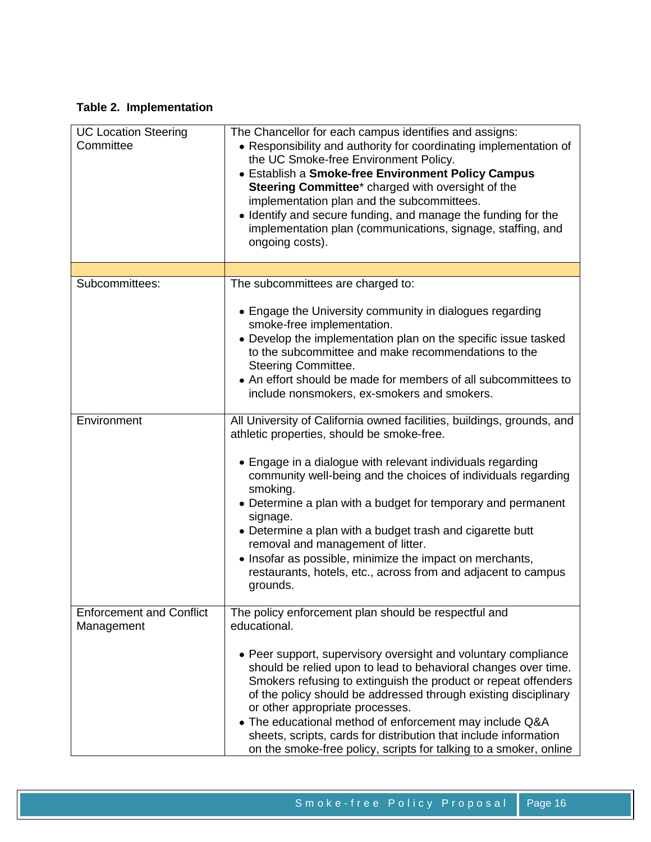# **Table 2. Implementation**

| <b>UC Location Steering</b><br>Committee      | The Chancellor for each campus identifies and assigns:<br>• Responsibility and authority for coordinating implementation of<br>the UC Smoke-free Environment Policy.<br>• Establish a Smoke-free Environment Policy Campus<br>Steering Committee* charged with oversight of the<br>implementation plan and the subcommittees.<br>• Identify and secure funding, and manage the funding for the<br>implementation plan (communications, signage, staffing, and<br>ongoing costs).                                                                                                       |
|-----------------------------------------------|----------------------------------------------------------------------------------------------------------------------------------------------------------------------------------------------------------------------------------------------------------------------------------------------------------------------------------------------------------------------------------------------------------------------------------------------------------------------------------------------------------------------------------------------------------------------------------------|
|                                               |                                                                                                                                                                                                                                                                                                                                                                                                                                                                                                                                                                                        |
| Subcommittees:                                | The subcommittees are charged to:<br>• Engage the University community in dialogues regarding<br>smoke-free implementation.<br>• Develop the implementation plan on the specific issue tasked<br>to the subcommittee and make recommendations to the<br>Steering Committee.<br>• An effort should be made for members of all subcommittees to<br>include nonsmokers, ex-smokers and smokers.                                                                                                                                                                                           |
| Environment                                   | All University of California owned facilities, buildings, grounds, and<br>athletic properties, should be smoke-free.<br>• Engage in a dialogue with relevant individuals regarding<br>community well-being and the choices of individuals regarding<br>smoking.<br>• Determine a plan with a budget for temporary and permanent<br>signage.<br>• Determine a plan with a budget trash and cigarette butt<br>removal and management of litter.<br>• Insofar as possible, minimize the impact on merchants,<br>restaurants, hotels, etc., across from and adjacent to campus<br>grounds. |
| <b>Enforcement and Conflict</b><br>Management | The policy enforcement plan should be respectful and<br>educational.<br>• Peer support, supervisory oversight and voluntary compliance<br>should be relied upon to lead to behavioral changes over time.<br>Smokers refusing to extinguish the product or repeat offenders<br>of the policy should be addressed through existing disciplinary<br>or other appropriate processes.<br>• The educational method of enforcement may include Q&A<br>sheets, scripts, cards for distribution that include information<br>on the smoke-free policy, scripts for talking to a smoker, online   |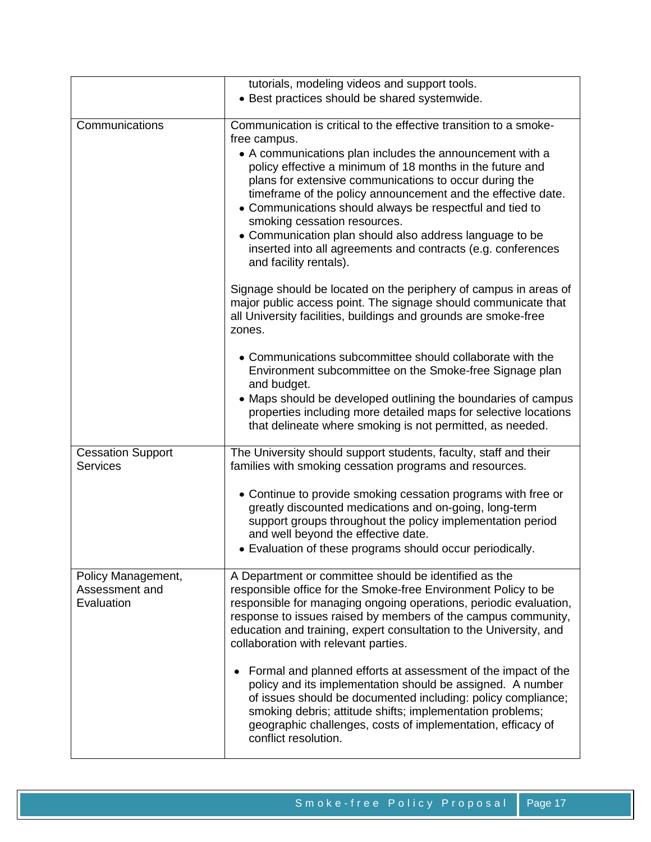|                                                    | tutorials, modeling videos and support tools.<br>• Best practices should be shared systemwide.                                                                                                                                                                                                                                                                                                                                                                                                                                                                                                                                                                                                                                                                                                 |
|----------------------------------------------------|------------------------------------------------------------------------------------------------------------------------------------------------------------------------------------------------------------------------------------------------------------------------------------------------------------------------------------------------------------------------------------------------------------------------------------------------------------------------------------------------------------------------------------------------------------------------------------------------------------------------------------------------------------------------------------------------------------------------------------------------------------------------------------------------|
| Communications                                     | Communication is critical to the effective transition to a smoke-<br>free campus.<br>• A communications plan includes the announcement with a<br>policy effective a minimum of 18 months in the future and<br>plans for extensive communications to occur during the<br>timeframe of the policy announcement and the effective date.<br>• Communications should always be respectful and tied to<br>smoking cessation resources.<br>• Communication plan should also address language to be<br>inserted into all agreements and contracts (e.g. conferences<br>and facility rentals).<br>Signage should be located on the periphery of campus in areas of<br>major public access point. The signage should communicate that<br>all University facilities, buildings and grounds are smoke-free |
|                                                    | zones.<br>• Communications subcommittee should collaborate with the<br>Environment subcommittee on the Smoke-free Signage plan<br>and budget.<br>• Maps should be developed outlining the boundaries of campus<br>properties including more detailed maps for selective locations<br>that delineate where smoking is not permitted, as needed.                                                                                                                                                                                                                                                                                                                                                                                                                                                 |
| <b>Cessation Support</b><br><b>Services</b>        | The University should support students, faculty, staff and their<br>families with smoking cessation programs and resources.<br>• Continue to provide smoking cessation programs with free or<br>greatly discounted medications and on-going, long-term<br>support groups throughout the policy implementation period<br>and well beyond the effective date.<br>• Evaluation of these programs should occur periodically.                                                                                                                                                                                                                                                                                                                                                                       |
| Policy Management,<br>Assessment and<br>Evaluation | A Department or committee should be identified as the<br>responsible office for the Smoke-free Environment Policy to be<br>responsible for managing ongoing operations, periodic evaluation,<br>response to issues raised by members of the campus community,<br>education and training, expert consultation to the University, and<br>collaboration with relevant parties.<br>Formal and planned efforts at assessment of the impact of the<br>٠<br>policy and its implementation should be assigned. A number<br>of issues should be documented including: policy compliance;<br>smoking debris; attitude shifts; implementation problems;<br>geographic challenges, costs of implementation, efficacy of<br>conflict resolution.                                                            |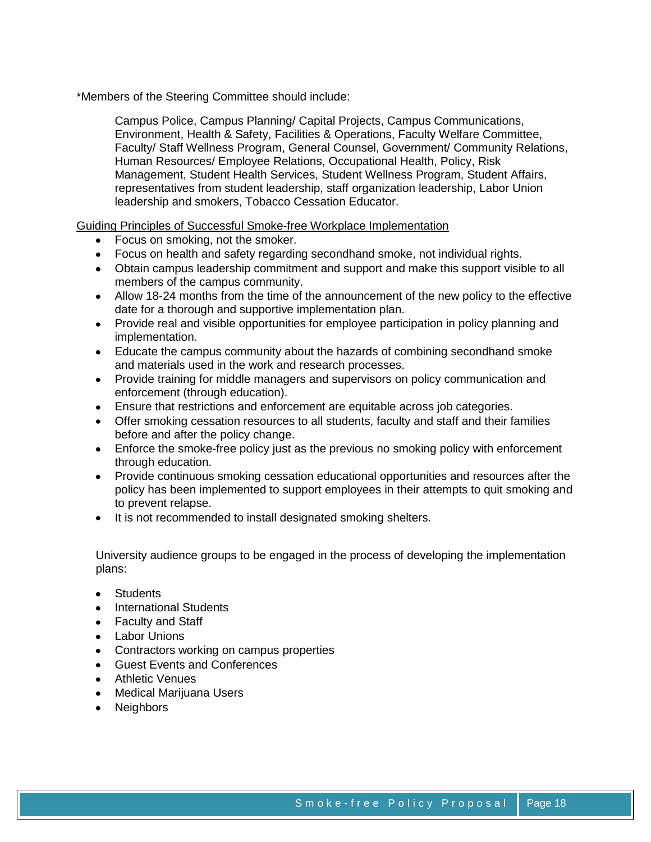\*Members of the Steering Committee should include:

Campus Police, Campus Planning/ Capital Projects, Campus Communications, Environment, Health & Safety, Facilities & Operations, Faculty Welfare Committee, Faculty/ Staff Wellness Program, General Counsel, Government/ Community Relations, Human Resources/ Employee Relations, Occupational Health, Policy, Risk Management, Student Health Services, Student Wellness Program, Student Affairs, representatives from student leadership, staff organization leadership, Labor Union leadership and smokers, Tobacco Cessation Educator.

Guiding Principles of Successful Smoke-free Workplace Implementation

- Focus on smoking, not the smoker.
- Focus on health and safety regarding secondhand smoke, not individual rights.
- Obtain campus leadership commitment and support and make this support visible to all members of the campus community.
- Allow 18-24 months from the time of the announcement of the new policy to the effective date for a thorough and supportive implementation plan.
- Provide real and visible opportunities for employee participation in policy planning and implementation.
- Educate the campus community about the hazards of combining secondhand smoke and materials used in the work and research processes.
- Provide training for middle managers and supervisors on policy communication and enforcement (through education).
- Ensure that restrictions and enforcement are equitable across job categories.
- Offer smoking cessation resources to all students, faculty and staff and their families before and after the policy change.
- Enforce the smoke-free policy just as the previous no smoking policy with enforcement through education.
- Provide continuous smoking cessation educational opportunities and resources after the policy has been implemented to support employees in their attempts to quit smoking and to prevent relapse.
- It is not recommended to install designated smoking shelters.

University audience groups to be engaged in the process of developing the implementation plans:

- **•** Students
- International Students
- Faculty and Staff
- Labor Unions
- Contractors working on campus properties
- Guest Events and Conferences
- Athletic Venues
- Medical Marijuana Users
- Neighbors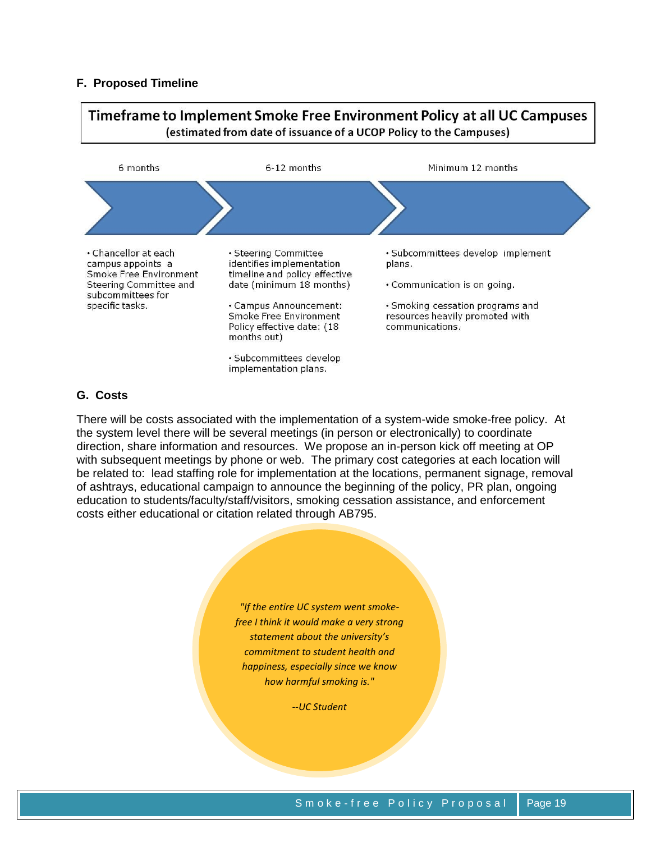# **F. Proposed Timeline**



# **G. Costs**

There will be costs associated with the implementation of a system-wide smoke-free policy. At the system level there will be several meetings (in person or electronically) to coordinate direction, share information and resources. We propose an in-person kick off meeting at OP with subsequent meetings by phone or web. The primary cost categories at each location will be related to: lead staffing role for implementation at the locations, permanent signage, removal of ashtrays, educational campaign to announce the beginning of the policy, PR plan, ongoing education to students/faculty/staff/visitors, smoking cessation assistance, and enforcement costs either educational or citation related through AB795.

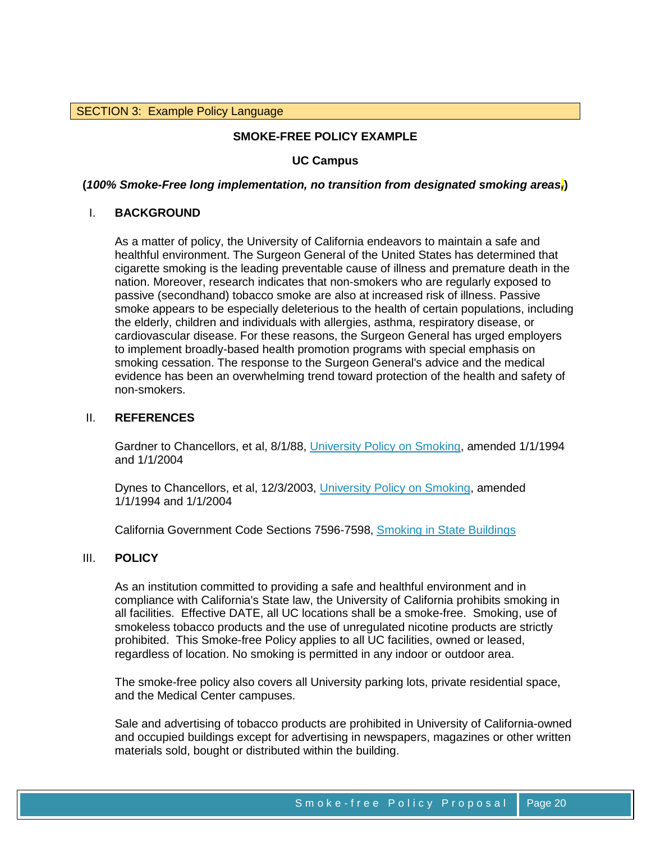# SECTION 3: Example Policy Language

## **SMOKE-FREE POLICY EXAMPLE**

## **UC Campus**

## **(***100% Smoke-Free long implementation, no transition from designated smoking areas,***)**

#### I. **BACKGROUND**

As a matter of policy, the University of California endeavors to maintain a safe and healthful environment. The Surgeon General of the United States has determined that cigarette smoking is the leading preventable cause of illness and premature death in the nation. Moreover, research indicates that non-smokers who are regularly exposed to passive (secondhand) tobacco smoke are also at increased risk of illness. Passive smoke appears to be especially deleterious to the health of certain populations, including the elderly, children and individuals with allergies, asthma, respiratory disease, or cardiovascular disease. For these reasons, the Surgeon General has urged employers to implement broadly-based health promotion programs with special emphasis on smoking cessation. The response to the Surgeon General's advice and the medical evidence has been an overwhelming trend toward protection of the health and safety of non-smokers.

#### II. **REFERENCES**

Gardner to Chancellors, et al, 8/1/88, [University Policy on Smoking,](http://www.ucop.edu/ucophome/coordrev/policy/8-01-88.html) amended 1/1/1994 and 1/1/2004

Dynes to Chancellors, et al, 12/3/2003, [University Policy on Smoking,](http://www.ucop.edu/ucophome/coordrev/policy/8-01-88.html) amended 1/1/1994 and 1/1/2004

California Government Code Sections 7596-7598, [Smoking in State Buildings](http://www.leginfo.ca.gov/)

#### III. **POLICY**

As an institution committed to providing a safe and healthful environment and in compliance with California's State law, the University of California prohibits smoking in all facilities. Effective DATE, all UC locations shall be a smoke-free. Smoking, use of smokeless tobacco products and the use of unregulated nicotine products are strictly prohibited. This Smoke-free Policy applies to all UC facilities, owned or leased, regardless of location. No smoking is permitted in any indoor or outdoor area.

The smoke-free policy also covers all University parking lots, private residential space, and the Medical Center campuses.

Sale and advertising of tobacco products are prohibited in University of California-owned and occupied buildings except for advertising in newspapers, magazines or other written materials sold, bought or distributed within the building.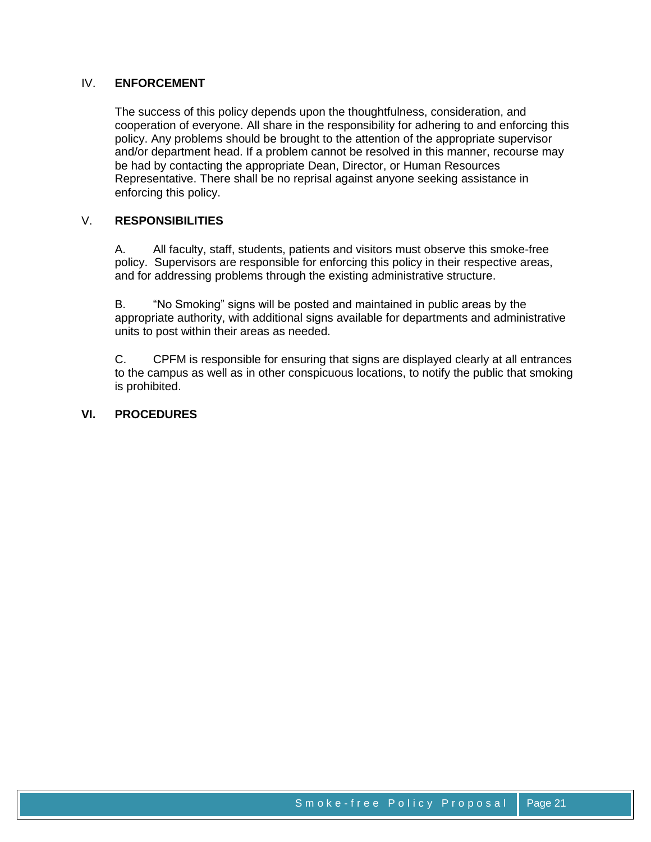# IV. **ENFORCEMENT**

The success of this policy depends upon the thoughtfulness, consideration, and cooperation of everyone. All share in the responsibility for adhering to and enforcing this policy. Any problems should be brought to the attention of the appropriate supervisor and/or department head. If a problem cannot be resolved in this manner, recourse may be had by contacting the appropriate Dean, Director, or Human Resources Representative. There shall be no reprisal against anyone seeking assistance in enforcing this policy.

# V. **RESPONSIBILITIES**

A. All faculty, staff, students, patients and visitors must observe this smoke-free policy. Supervisors are responsible for enforcing this policy in their respective areas, and for addressing problems through the existing administrative structure.

B. "No Smoking" signs will be posted and maintained in public areas by the appropriate authority, with additional signs available for departments and administrative units to post within their areas as needed.

C. CPFM is responsible for ensuring that signs are displayed clearly at all entrances to the campus as well as in other conspicuous locations, to notify the public that smoking is prohibited.

# **VI. PROCEDURES**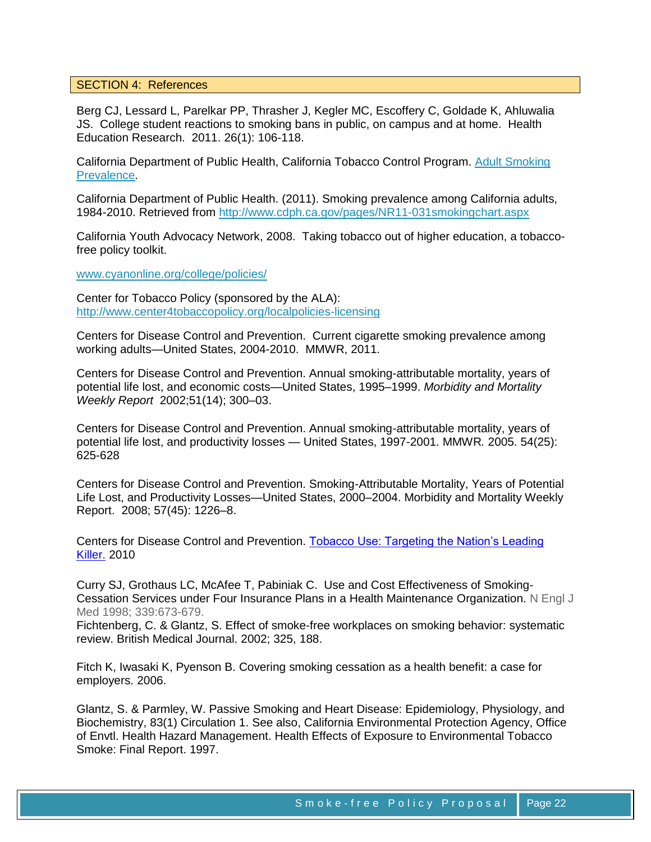#### SECTION 4: References

Berg CJ, Lessard L, Parelkar PP, Thrasher J, Kegler MC, Escoffery C, Goldade K, Ahluwalia JS. College student reactions to smoking bans in public, on campus and at home. Health Education Research. 2011. 26(1): 106-118.

California Department of Public Health, California Tobacco Control Program. [Adult Smoking](http://www.cdph.ca.gov/programs/tobacco/Documents/CTCPAdultSmoking_10.pdf)  [Prevalence.](http://www.cdph.ca.gov/programs/tobacco/Documents/CTCPAdultSmoking_10.pdf)

California Department of Public Health. (2011). Smoking prevalence among California adults, 1984-2010. Retrieved from<http://www.cdph.ca.gov/pages/NR11-031smokingchart.aspx>

California Youth Advocacy Network, 2008. Taking tobacco out of higher education, a tobaccofree policy toolkit.

[www.cyanonline.org/college/policies/](http://www.cyanonline.org/college/policies/)

Center for Tobacco Policy (sponsored by the ALA): <http://www.center4tobaccopolicy.org/localpolicies-licensing>

Centers for Disease Control and Prevention. Current cigarette smoking prevalence among working adults—United States, 2004-2010. MMWR, 2011.

Centers for Disease Control and Prevention. Annual smoking-attributable mortality, years of potential life lost, and economic costs—United States, 1995–1999. *Morbidity and Mortality Weekly Report* 2002;51(14); 300–03.

Centers for Disease Control and Prevention. Annual smoking-attributable mortality, years of potential life lost, and productivity losses — United States, 1997-2001. MMWR*.* 2005. 54(25): 625-628

Centers for Disease Control and Prevention. Smoking-Attributable Mortality, Years of Potential Life Lost, and Productivity Losses—United States, 2000–2004. Morbidity and Mortality Weekly Report. 2008; 57(45): 1226–8.

Centers for Disease Control and Prevention. [Tobacco Use: Targeting the Nation's Leading](http://www.cdc.gov/chronicdisease/resources/publications/aag/pdf/2010/tobacco_2010.pdf)  [Killer.](http://www.cdc.gov/chronicdisease/resources/publications/aag/pdf/2010/tobacco_2010.pdf) 2010

Curry SJ, Grothaus LC, McAfee T, Pabiniak C. Use and Cost Effectiveness of Smoking-Cessation Services under Four Insurance Plans in a Health Maintenance Organization. N Engl J Med 1998; 339:673-679.

Fichtenberg, C. & Glantz, S. Effect of smoke-free workplaces on smoking behavior: systematic review. British Medical Journal. 2002; 325, 188.

Fitch K, Iwasaki K, Pyenson B. [Covering smoking cessation as a health benefit: a](http://www.dfwbgh.org/events07/9-27-2007.pdf) case for [employers.](http://www.dfwbgh.org/events07/9-27-2007.pdf) 2006.

Glantz, S. & Parmley, W. Passive Smoking and Heart Disease: Epidemiology, Physiology, and Biochemistry, 83(1) Circulation 1. See also, California Environmental Protection Agency, Office of Envtl. Health Hazard Management. Health Effects of Exposure to Environmental Tobacco Smoke: Final Report. 1997.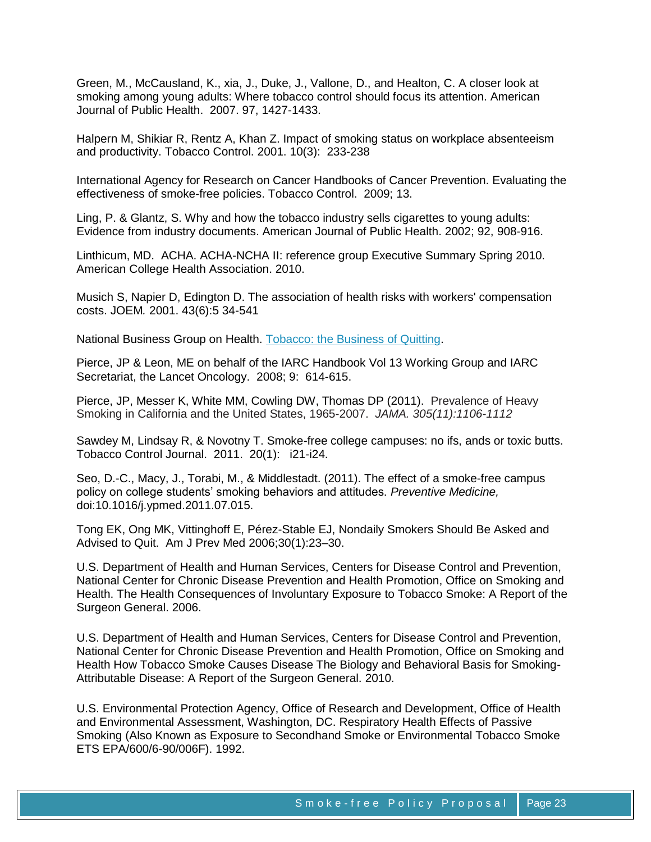Green, M., McCausland, K., xia, J., Duke, J., Vallone, D., and Healton, C. A closer look at smoking among young adults: Where tobacco control should focus its attention. American Journal of Public Health. 2007. 97, 1427-1433.

Halpern M, Shikiar R, Rentz A, Khan Z. Impact of smoking status on workplace absenteeism and productivity. Tobacco Control. 2001. 10(3): 233-238

International Agency for Research on Cancer Handbooks of Cancer Prevention. Evaluating the effectiveness of smoke-free policies. Tobacco Control. 2009; 13.

Ling, P. & Glantz, S. Why and how the tobacco industry sells cigarettes to young adults: Evidence from industry documents. American Journal of Public Health. 2002; 92, 908-916.

Linthicum, MD. ACHA. ACHA-NCHA II: reference group Executive Summary Spring 2010. American College Health Association. 2010.

Musich S, Napier D, Edington D. The association of health risks with workers' compensation costs. JOEM*.* 2001. 43(6):5 34-541

National Business Group on Health. [Tobacco: the Business of Quitting.](http://www.wbgh.org/tobacco/return/index.cfm)

Pierce, JP & Leon, ME on behalf of the IARC Handbook Vol 13 Working Group and IARC Secretariat, the Lancet Oncology. 2008; 9: 614-615.

Pierce, JP, Messer K, White MM, Cowling DW, Thomas DP (2011). Prevalence of Heavy Smoking in California and the United States, 1965-2007. *JAMA. 305(11):1106-1112*

Sawdey M, Lindsay R, & Novotny T. Smoke-free college campuses: no ifs, ands or toxic butts. Tobacco Control Journal. 2011. 20(1): i21-i24.

Seo, D.-C., Macy, J., Torabi, M., & Middlestadt. (2011). The effect of a smoke-free campus policy on college students' smoking behaviors and attitudes. *Preventive Medicine,*  doi:10.1016/j.ypmed.2011.07.015.

Tong EK, Ong MK, Vittinghoff E, Pérez-Stable EJ, Nondaily Smokers Should Be Asked and Advised to Quit. Am J Prev Med 2006;30(1):23–30.

U.S. Department of Health and Human Services, Centers for Disease Control and Prevention, National Center for Chronic Disease Prevention and Health Promotion, Office on Smoking and Health. The Health Consequences of Involuntary Exposure to Tobacco Smoke: A Report of the Surgeon General. 2006.

U.S. Department of Health and Human Services, Centers for Disease Control and Prevention, National Center for Chronic Disease Prevention and Health Promotion, Office on Smoking and Health How Tobacco Smoke Causes Disease The Biology and Behavioral Basis for Smoking-Attributable Disease: A Report of the Surgeon General. 2010.

U.S. Environmental Protection Agency, Office of Research and Development, Office of Health and Environmental Assessment, Washington, DC. Respiratory Health Effects of Passive Smoking (Also Known as Exposure to Secondhand Smoke or Environmental Tobacco Smoke ETS EPA/600/6-90/006F). 1992.